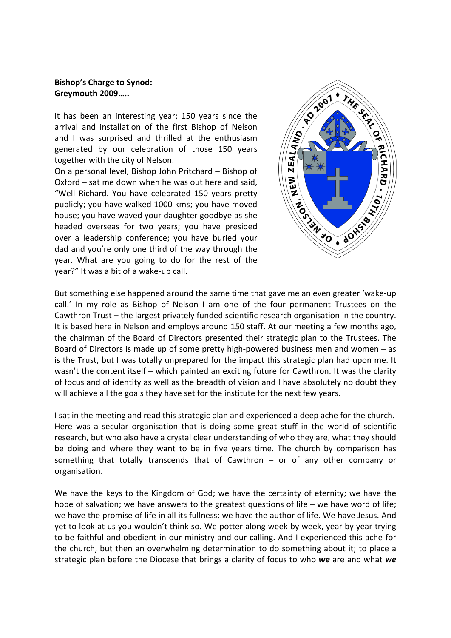## **Bishop's Charge to Synod: Greymouth 2009…..**

It has been an interesting year; 150 years since the arrival and installation of the first Bishop of Nelson and I was surprised and thrilled at the enthusiasm generated by our celebration of those 150 years together with the city of Nelson.

On a personal level, Bishop John Pritchard – Bishop of Oxford – sat me down when he was out here and said, "Well Richard. You have celebrated 150 years pretty publicly; you have walked 1000 kms; you have moved house; you have waved your daughter goodbye as she headed overseas for two years; you have presided over a leadership conference; you have buried your dad and you're only one third of the way through the year. What are you going to do for the rest of the year?" It was a bit of a wake‐up call.



But something else happened around the same time that gave me an even greater 'wake‐up call.' In my role as Bishop of Nelson I am one of the four permanent Trustees on the Cawthron Trust – the largest privately funded scientific research organisation in the country. It is based here in Nelson and employs around 150 staff. At our meeting a few months ago, the chairman of the Board of Directors presented their strategic plan to the Trustees. The Board of Directors is made up of some pretty high‐powered business men and women – as is the Trust, but I was totally unprepared for the impact this strategic plan had upon me. It wasn't the content itself – which painted an exciting future for Cawthron. It was the clarity of focus and of identity as well as the breadth of vision and I have absolutely no doubt they will achieve all the goals they have set for the institute for the next few years.

I sat in the meeting and read this strategic plan and experienced a deep ache for the church. Here was a secular organisation that is doing some great stuff in the world of scientific research, but who also have a crystal clear understanding of who they are, what they should be doing and where they want to be in five years time. The church by comparison has something that totally transcends that of Cawthron – or of any other company or organisation.

We have the keys to the Kingdom of God; we have the certainty of eternity; we have the hope of salvation; we have answers to the greatest questions of life – we have word of life; we have the promise of life in all its fullness; we have the author of life. We have Jesus. And yet to look at us you wouldn't think so. We potter along week by week, year by year trying to be faithful and obedient in our ministry and our calling. And I experienced this ache for the church, but then an overwhelming determination to do something about it; to place a strategic plan before the Diocese that brings a clarity of focus to who *we* are and what *we*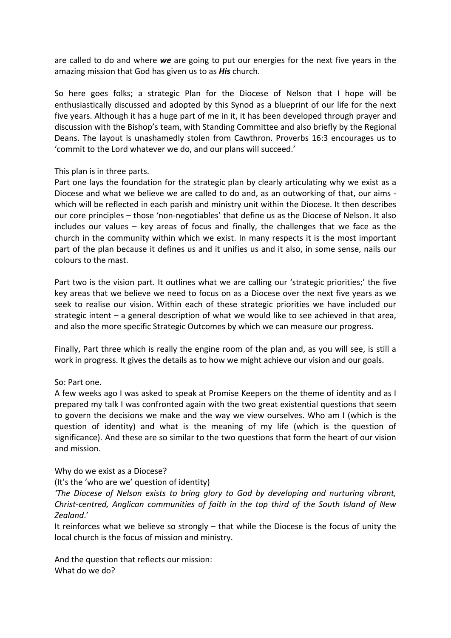are called to do and where *we* are going to put our energies for the next five years in the amazing mission that God has given us to as *His* church.

So here goes folks; a strategic Plan for the Diocese of Nelson that I hope will be enthusiastically discussed and adopted by this Synod as a blueprint of our life for the next five years. Although it has a huge part of me in it, it has been developed through prayer and discussion with the Bishop's team, with Standing Committee and also briefly by the Regional Deans. The layout is unashamedly stolen from Cawthron. Proverbs 16:3 encourages us to 'commit to the Lord whatever we do, and our plans will succeed.'

## This plan is in three parts.

Part one lays the foundation for the strategic plan by clearly articulating why we exist as a Diocese and what we believe we are called to do and, as an outworking of that, our aims ‐ which will be reflected in each parish and ministry unit within the Diocese. It then describes our core principles – those 'non‐negotiables' that define us as the Diocese of Nelson. It also includes our values – key areas of focus and finally, the challenges that we face as the church in the community within which we exist. In many respects it is the most important part of the plan because it defines us and it unifies us and it also, in some sense, nails our colours to the mast.

Part two is the vision part. It outlines what we are calling our 'strategic priorities;' the five key areas that we believe we need to focus on as a Diocese over the next five years as we seek to realise our vision. Within each of these strategic priorities we have included our strategic intent – a general description of what we would like to see achieved in that area, and also the more specific Strategic Outcomes by which we can measure our progress.

Finally, Part three which is really the engine room of the plan and, as you will see, is still a work in progress. It gives the details as to how we might achieve our vision and our goals.

#### So: Part one.

A few weeks ago I was asked to speak at Promise Keepers on the theme of identity and as I prepared my talk I was confronted again with the two great existential questions that seem to govern the decisions we make and the way we view ourselves. Who am I (which is the question of identity) and what is the meaning of my life (which is the question of significance). And these are so similar to the two questions that form the heart of our vision and mission.

# Why do we exist as a Diocese?

(It's the 'who are we' question of identity)

*'The Diocese of Nelson exists to bring glory to God by developing and nurturing vibrant, Christ‐centred, Anglican communities of faith in the top third of the South Island of New Zealand*.'

It reinforces what we believe so strongly – that while the Diocese is the focus of unity the local church is the focus of mission and ministry.

And the question that reflects our mission: What do we do?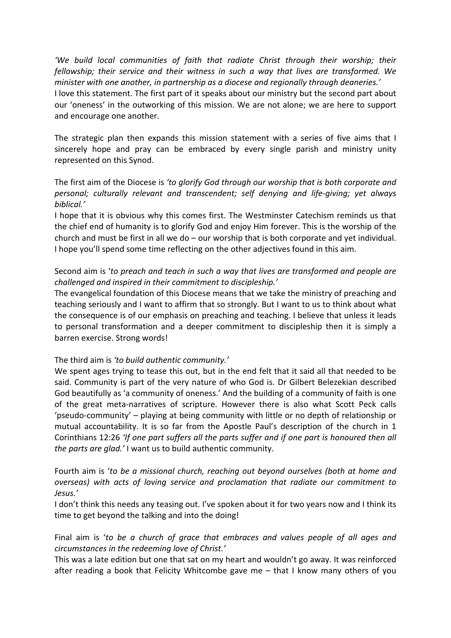*'We build local communities of faith that radiate Christ through their worship; their fellowship; their service and their witness in such a way that lives are transformed. We minister with one another, in partnership as a diocese and regionally through deaneries.'*

I love this statement. The first part of it speaks about our ministry but the second part about our 'oneness' in the outworking of this mission. We are not alone; we are here to support and encourage one another.

The strategic plan then expands this mission statement with a series of five aims that I sincerely hope and pray can be embraced by every single parish and ministry unity represented on this Synod.

The first aim of the Diocese is *'to glorify God through our worship that is both corporate and personal; culturally relevant and transcendent; self denying and life‐giving; yet always biblical.'*

I hope that it is obvious why this comes first. The Westminster Catechism reminds us that the chief end of humanity is to glorify God and enjoy Him forever. This is the worship of the church and must be first in all we do – our worship that is both corporate and yet individual. I hope you'll spend some time reflecting on the other adjectives found in this aim.

# Second aim is '*to preach and teach in such a way that lives are transformed and people are challenged and inspired in their commitment to discipleship.'*

The evangelical foundation of this Diocese means that we take the ministry of preaching and teaching seriously and I want to affirm that so strongly. But I want to us to think about what the consequence is of our emphasis on preaching and teaching. I believe that unless it leads to personal transformation and a deeper commitment to discipleship then it is simply a barren exercise. Strong words!

# The third aim is *'to build authentic community.'*

We spent ages trying to tease this out, but in the end felt that it said all that needed to be said. Community is part of the very nature of who God is. Dr Gilbert Belezekian described God beautifully as 'a community of oneness.' And the building of a community of faith is one of the great meta‐narratives of scripture. However there is also what Scott Peck calls 'pseudo‐community' – playing at being community with little or no depth of relationship or mutual accountability. It is so far from the Apostle Paul's description of the church in 1 Corinthians 12:26 *'If one part suffers all the parts suffer and if one part is honoured then all the parts are glad.'* I want us to build authentic community.

Fourth aim is '*to be a missional church, reaching out beyond ourselves (both at home and overseas) with acts of loving service and proclamation that radiate our commitment to Jesus.'* 

I don't think this needs any teasing out. I've spoken about it for two years now and I think its time to get beyond the talking and into the doing!

Final aim is '*to be a church of grace that embraces and values people of all ages and circumstances in the redeeming love of Christ.'*

This was a late edition but one that sat on my heart and wouldn't go away. It was reinforced after reading a book that Felicity Whitcombe gave me – that I know many others of you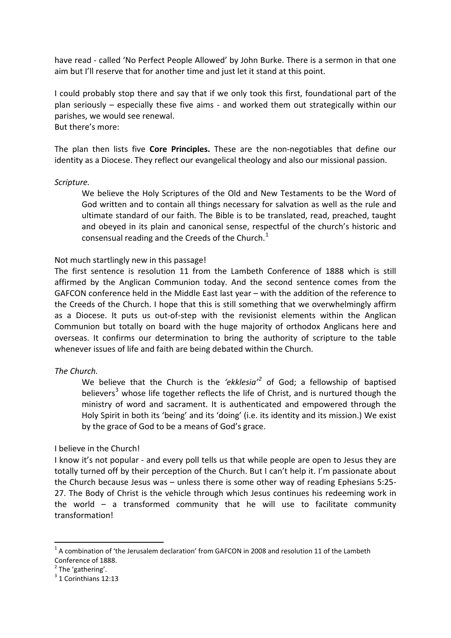have read - called 'No Perfect People Allowed' by John Burke. There is a sermon in that one aim but I'll reserve that for another time and just let it stand at this point.

I could probably stop there and say that if we only took this first, foundational part of the plan seriously – especially these five aims ‐ and worked them out strategically within our parishes, we would see renewal.

But there's more:

The plan then lists five **Core Principles.** These are the non‐negotiables that define our identity as a Diocese. They reflect our evangelical theology and also our missional passion.

#### *Scripture.*

We believe the Holy Scriptures of the Old and New Testaments to be the Word of God written and to contain all things necessary for salvation as well as the rule and ultimate standard of our faith. The Bible is to be translated, read, preached, taught and obeyed in its plain and canonical sense, respectful of the church's historic and consensual reading and the Creeds of the Church. $<sup>1</sup>$  $<sup>1</sup>$  $<sup>1</sup>$ </sup>

#### Not much startlingly new in this passage!

The first sentence is resolution 11 from the Lambeth Conference of 1888 which is still affirmed by the Anglican Communion today. And the second sentence comes from the GAFCON conference held in the Middle East last year – with the addition of the reference to the Creeds of the Church. I hope that this is still something that we overwhelmingly affirm as a Diocese. It puts us out‐of‐step with the revisionist elements within the Anglican Communion but totally on board with the huge majority of orthodox Anglicans here and overseas. It confirms our determination to bring the authority of scripture to the table whenever issues of life and faith are being debated within the Church.

#### *The Church.*

We believe that the Church is the *'ekklesia'[2](#page-3-1)* of God; a fellowship of baptised believers<sup>[3](#page-3-2)</sup> whose life together reflects the life of Christ, and is nurtured though the ministry of word and sacrament. It is authenticated and empowered through the Holy Spirit in both its 'being' and its 'doing' (i.e. its identity and its mission.) We exist by the grace of God to be a means of God's grace.

#### I believe in the Church!

I know it's not popular ‐ and every poll tells us that while people are open to Jesus they are totally turned off by their perception of the Church. But I can't help it. I'm passionate about the Church because Jesus was – unless there is some other way of reading Ephesians 5:25‐ 27. The Body of Christ is the vehicle through which Jesus continues his redeeming work in the world – a transformed community that he will use to facilitate community transformation!

<span id="page-3-0"></span> $1$  A combination of 'the Jerusalem declaration' from GAFCON in 2008 and resolution 11 of the Lambeth Conference of 1888.<br>
<sup>2</sup> The 'gathering'.<br>
<sup>3</sup> 1 Corinthians 12:13

<span id="page-3-2"></span><span id="page-3-1"></span>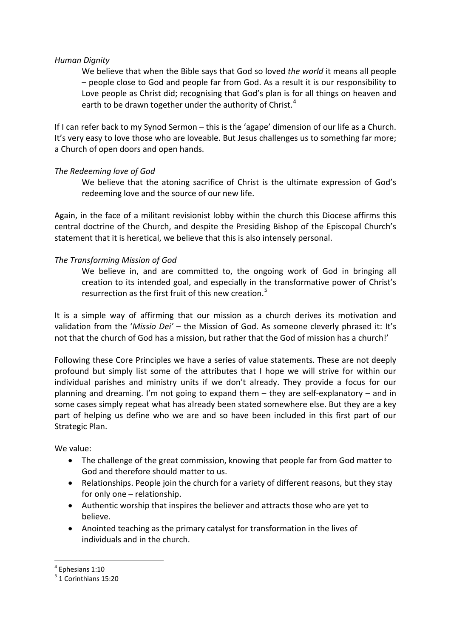## *Human Dignity*

We believe that when the Bible says that God so loved *the world* it means all people – people close to God and people far from God. As a result it is our responsibility to Love people as Christ did; recognising that God's plan is for all things on heaven and earth to be drawn together under the authority of Christ. $4$ 

If I can refer back to my Synod Sermon – this is the 'agape' dimension of our life as a Church. It's very easy to love those who are loveable. But Jesus challenges us to something far more; a Church of open doors and open hands.

# *The Redeeming love of God*

We believe that the atoning sacrifice of Christ is the ultimate expression of God's redeeming love and the source of our new life.

Again, in the face of a militant revisionist lobby within the church this Diocese affirms this central doctrine of the Church, and despite the Presiding Bishop of the Episcopal Church's statement that it is heretical, we believe that this is also intensely personal.

# *The Transforming Mission of God*

We believe in, and are committed to, the ongoing work of God in bringing all creation to its intended goal, and especially in the transformative power of Christ's resurrection as the first fruit of this new creation.<sup>[5](#page-4-1)</sup>

It is a simple way of affirming that our mission as a church derives its motivation and validation from the '*Missio Dei'* – the Mission of God. As someone cleverly phrased it: It's not that the church of God has a mission, but rather that the God of mission has a church!'

Following these Core Principles we have a series of value statements. These are not deeply profound but simply list some of the attributes that I hope we will strive for within our individual parishes and ministry units if we don't already. They provide a focus for our planning and dreaming. I'm not going to expand them – they are self‐explanatory – and in some cases simply repeat what has already been stated somewhere else. But they are a key part of helping us define who we are and so have been included in this first part of our Strategic Plan.

We value:

- The challenge of the great commission, knowing that people far from God matter to God and therefore should matter to us.
- Relationships. People join the church for a variety of different reasons, but they stay for only one – relationship.
- Authentic worship that inspires the believer and attracts those who are yet to believe.
- Anointed teaching as the primary catalyst for transformation in the lives of individuals and in the church.

<span id="page-4-1"></span><span id="page-4-0"></span> $<sup>4</sup>$  Ephesians 1:10<br> $<sup>5</sup>$  1 Corinthians 15:20</sup></sup>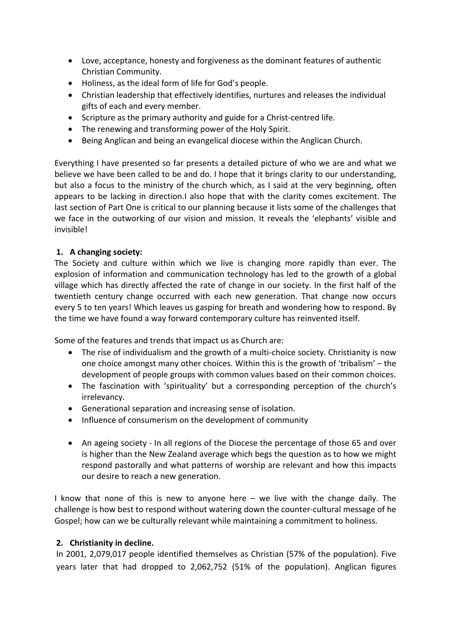- Love, acceptance, honesty and forgiveness as the dominant features of authentic Christian Community.
- Holiness, as the ideal form of life for God's people.
- Christian leadership that effectively identifies, nurtures and releases the individual gifts of each and every member.
- Scripture as the primary authority and guide for a Christ‐centred life.
- The renewing and transforming power of the Holy Spirit.
- Being Anglican and being an evangelical diocese within the Anglican Church.

Everything I have presented so far presents a detailed picture of who we are and what we believe we have been called to be and do. I hope that it brings clarity to our understanding, but also a focus to the ministry of the church which, as I said at the very beginning, often appears to be lacking in direction.I also hope that with the clarity comes excitement. The last section of Part One is critical to our planning because it lists some of the challenges that we face in the outworking of our vision and mission. It reveals the 'elephants' visible and invisible!

# **1. A changing society:**

The Society and culture within which we live is changing more rapidly than ever. The explosion of information and communication technology has led to the growth of a global village which has directly affected the rate of change in our society. In the first half of the twentieth century change occurred with each new generation. That change now occurs every 5 to ten years! Which leaves us gasping for breath and wondering how to respond. By the time we have found a way forward contemporary culture has reinvented itself.

Some of the features and trends that impact us as Church are:

- The rise of individualism and the growth of a multi-choice society. Christianity is now one choice amongst many other choices. Within this is the growth of 'tribalism' – the development of people groups with common values based on their common choices.
- The fascination with 'spirituality' but a corresponding perception of the church's irrelevancy.
- Generational separation and increasing sense of isolation.
- Influence of consumerism on the development of community
- An ageing society In all regions of the Diocese the percentage of those 65 and over is higher than the New Zealand average which begs the question as to how we might respond pastorally and what patterns of worship are relevant and how this impacts our desire to reach a new generation.

I know that none of this is new to anyone here – we live with the change daily. The challenge is how best to respond without watering down the counter‐cultural message of he Gospel; how can we be culturally relevant while maintaining a commitment to holiness.

# **2. Christianity in decline.**

In 2001, 2,079,017 people identified themselves as Christian (57% of the population). Five years later that had dropped to 2,062,752 (51% of the population). Anglican figures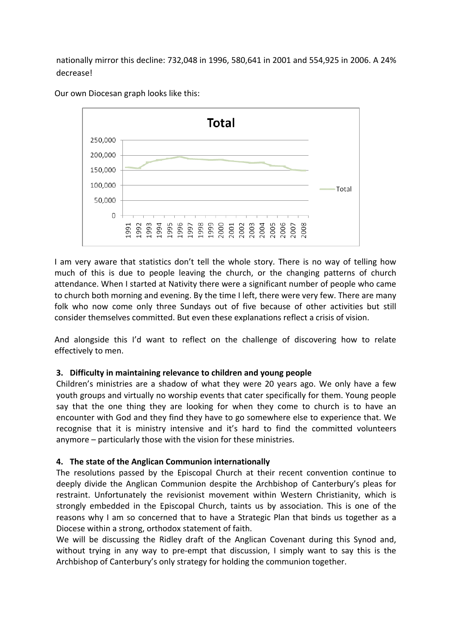nationally mirror this decline: 732,048 in 1996, 580,641 in 2001 and 554,925 in 2006. A 24% decrease!



Our own Diocesan graph looks like this:

I am very aware that statistics don't tell the whole story. There is no way of telling how much of this is due to people leaving the church, or the changing patterns of church attendance. When I started at Nativity there were a significant number of people who came to church both morning and evening. By the time I left, there were very few. There are many folk who now come only three Sundays out of five because of other activities but still consider themselves committed. But even these explanations reflect a crisis of vision.

And alongside this I'd want to reflect on the challenge of discovering how to relate effectively to men.

# **3. Difficulty in maintaining relevance to children and young people**

Children's ministries are a shadow of what they were 20 years ago. We only have a few youth groups and virtually no worship events that cater specifically for them. Young people say that the one thing they are looking for when they come to church is to have an encounter with God and they find they have to go somewhere else to experience that. We recognise that it is ministry intensive and it's hard to find the committed volunteers anymore – particularly those with the vision for these ministries.

# **4. The state of the Anglican Communion internationally**

The resolutions passed by the Episcopal Church at their recent convention continue to deeply divide the Anglican Communion despite the Archbishop of Canterbury's pleas for restraint. Unfortunately the revisionist movement within Western Christianity, which is strongly embedded in the Episcopal Church, taints us by association. This is one of the reasons why I am so concerned that to have a Strategic Plan that binds us together as a Diocese within a strong, orthodox statement of faith.

We will be discussing the Ridley draft of the Anglican Covenant during this Synod and, without trying in any way to pre-empt that discussion, I simply want to say this is the Archbishop of Canterbury's only strategy for holding the communion together.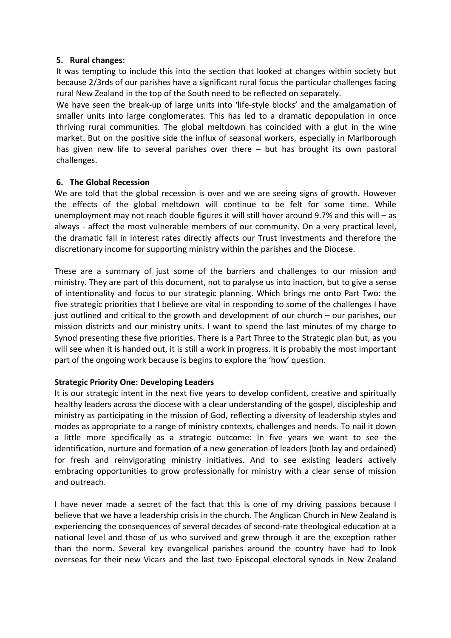## **5. Rural changes:**

It was tempting to include this into the section that looked at changes within society but because 2/3rds of our parishes have a significant rural focus the particular challenges facing rural New Zealand in the top of the South need to be reflected on separately.

We have seen the break-up of large units into 'life-style blocks' and the amalgamation of smaller units into large conglomerates. This has led to a dramatic depopulation in once thriving rural communities. The global meltdown has coincided with a glut in the wine market. But on the positive side the influx of seasonal workers, especially in Marlborough has given new life to several parishes over there – but has brought its own pastoral challenges.

# **6. The Global Recession**

We are told that the global recession is over and we are seeing signs of growth. However the effects of the global meltdown will continue to be felt for some time. While unemployment may not reach double figures it will still hover around 9.7% and this will – as always - affect the most vulnerable members of our community. On a very practical level, the dramatic fall in interest rates directly affects our Trust Investments and therefore the discretionary income for supporting ministry within the parishes and the Diocese.

These are a summary of just some of the barriers and challenges to our mission and ministry. They are part of this document, not to paralyse us into inaction, but to give a sense of intentionality and focus to our strategic planning. Which brings me onto Part Two: the five strategic priorities that I believe are vital in responding to some of the challenges I have just outlined and critical to the growth and development of our church – our parishes, our mission districts and our ministry units. I want to spend the last minutes of my charge to Synod presenting these five priorities. There is a Part Three to the Strategic plan but, as you will see when it is handed out, it is still a work in progress. It is probably the most important part of the ongoing work because is begins to explore the 'how' question.

# **Strategic Priority One: Developing Leaders**

It is our strategic intent in the next five years to develop confident, creative and spiritually healthy leaders across the diocese with a clear understanding of the gospel, discipleship and ministry as participating in the mission of God, reflecting a diversity of leadership styles and modes as appropriate to a range of ministry contexts, challenges and needs. To nail it down a little more specifically as a strategic outcome: In five years we want to see the identification, nurture and formation of a new generation of leaders (both lay and ordained) for fresh and reinvigorating ministry initiatives. And to see existing leaders actively embracing opportunities to grow professionally for ministry with a clear sense of mission and outreach.

I have never made a secret of the fact that this is one of my driving passions because I believe that we have a leadership crisis in the church. The Anglican Church in New Zealand is experiencing the consequences of several decades of second‐rate theological education at a national level and those of us who survived and grew through it are the exception rather than the norm. Several key evangelical parishes around the country have had to look overseas for their new Vicars and the last two Episcopal electoral synods in New Zealand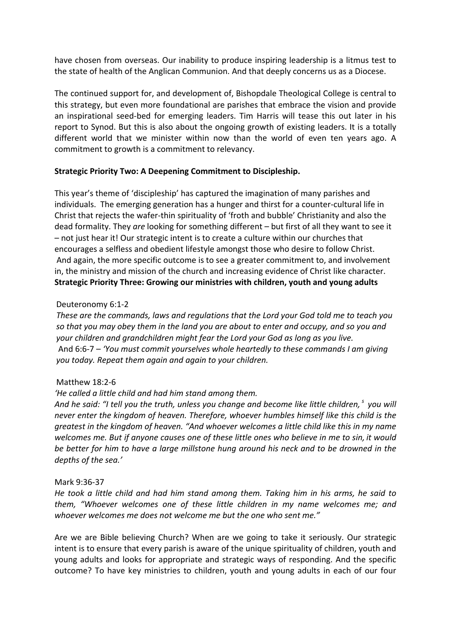have chosen from overseas. Our inability to produce inspiring leadership is a litmus test to the state of health of the Anglican Communion. And that deeply concerns us as a Diocese.

The continued support for, and development of, Bishopdale Theological College is central to this strategy, but even more foundational are parishes that embrace the vision and provide an inspirational seed‐bed for emerging leaders. Tim Harris will tease this out later in his report to Synod. But this is also about the ongoing growth of existing leaders. It is a totally different world that we minister within now than the world of even ten years ago. A commitment to growth is a commitment to relevancy.

## **Strategic Priority Two: A Deepening Commitment to Discipleship.**

This year's theme of 'discipleship' has captured the imagination of many parishes and individuals. The emerging generation has a hunger and thirst for a counter-cultural life in Christ that rejects the wafer‐thin spirituality of 'froth and bubble' Christianity and also the dead formality. They *are* looking for something different – but first of all they want to see it – not just hear it! Our strategic intent is to create a culture within our churches that encourages a selfless and obedient lifestyle amongst those who desire to follow Christ. And again, the more specific outcome is to see a greater commitment to, and involvement in, the ministry and mission of the church and increasing evidence of Christ like character. **Strategic Priority Three: Growing our ministries with children, youth and young adults**

## Deuteronomy 6:1‐2

*These are the commands, laws and regulations that the Lord your God told me to teach you* so that you may obey them in the land you are about to enter and occupy, and so you and *your children and grandchildren might fear the Lord your God as long as you live.* And 6:6‐7 – *'You must commit yourselves whole heartedly to these commands I am giving you today. Repeat them again and again to your children.*

#### Matthew 18:2‐6

# *'He called a little child and had him stand among them.*

And he said: "I tell you the truth, unless you change and become like little children,  $^{\circ}$  you will *never enter the kingdom of heaven. Therefore, whoever humbles himself like this child is the greatest in the kingdom of heaven. "And whoever welcomes a little child like this in my name* welcomes me. But if anyone causes one of these little ones who believe in me to sin, it would *be better for him to have a large millstone hung around his neck and to be drowned in the depths of the sea.'*

#### Mark 9:36‐37

*He took a little child and had him stand among them. Taking him in his arms, he said to them, "Whoever welcomes one of these little children in my name welcomes me; and whoever welcomes me does not welcome me but the one who sent me."* 

Are we are Bible believing Church? When are we going to take it seriously. Our strategic intent is to ensure that every parish is aware of the unique spirituality of children, youth and young adults and looks for appropriate and strategic ways of responding. And the specific outcome? To have key ministries to children, youth and young adults in each of our four